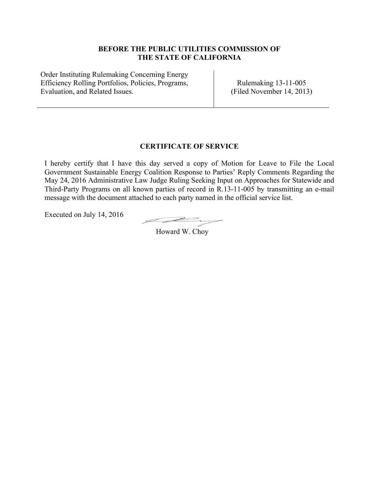### **BEFORE THE PUBLIC UTILITIES COMMISSION OF THE STATE OF CALIFORNIA**

Order Instituting Rulemaking Concerning Energy Efficiency Rolling Portfolios, Policies, Programs, Evaluation, and Related Issues.

Rulemaking 13-11-005 (Filed November 14, 2013)

## **CERTIFICATE OF SERVICE**

I hereby certify that I have this day served a copy of Motion for Leave to File the Local Government Sustainable Energy Coalition Response to Parties' Reply Comments Regarding the May 24, 2016 Administrative Law Judge Ruling Seeking Input on Approaches for Statewide and Third-Party Programs on all known parties of record in R.13-11-005 by transmitting an e-mail message with the document attached to each party named in the official service list.

Executed on July 14, 2016

I de

Howard W. Choy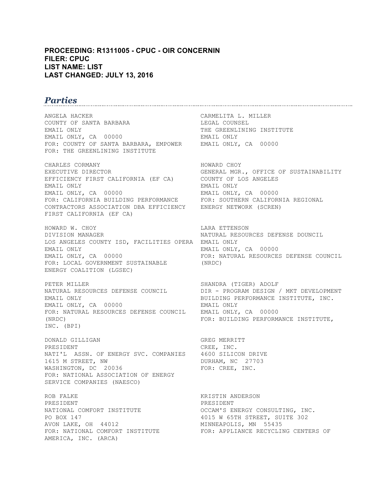#### **PROCEEDING: R1311005 - CPUC - OIR CONCERNIN FILER: CPUC LIST NAME: LIST LAST CHANGED: JULY 13, 2016**

# *Parties*

ANGELA HACKER CARMELITA L. MILLER COUNTY OF SANTA BARBARA LEGAL COUNSEL EMAIL ONLY **THE GREENLINING INSTITUTE** EMAIL ONLY, CA 00000 EMAIL ONLY FOR: COUNTY OF SANTA BARBARA, EMPOWER EMAIL ONLY, CA 00000 FOR: THE GREENLINING INSTITUTE

CHARLES CORMANY **HOWARD CHOY** EXECUTIVE DIRECTOR **GENERAL MGR., OFFICE OF SUSTAINABILITY** EFFICIENCY FIRST CALIFORNIA (EF CA) COUNTY OF LOS ANGELES EMAIL ONLY EMAIL ONLY EMAIL ONLY, CA 00000 EMAIL ONLY, CA 00000 FOR: CALIFORNIA BUILDING PERFORMANCE FOR: SOUTHERN CALIFORNIA REGIONAL CONTRACTORS ASSOCIATION DBA EFFICIENCY ENERGY NETWORK (SCREN) FIRST CALIFORNIA (EF CA)

HOWARD W. CHOY LARA ETTENSON DIVISION MANAGER NATURAL RESOURCES DEFENSE DOUNCIL LOS ANGELES COUNTY ISD, FACILITIES OPERA EMAIL ONLY EMAIL ONLY **EMAIL ONLY, CA** 00000 EMAIL ONLY, CA 00000 FOR: NATURAL RESOURCES DEFENSE COUNCIL FOR: LOCAL GOVERNMENT SUSTAINABLE (NRDC) ENERGY COALITION (LGSEC)

PETER MILLER SHANDRA (TIGER) ADOLF EMAIL ONLY BUILDING PERFORMANCE INSTITUTE, INC. EMAIL ONLY, CA 00000 EMAIL ONLY FOR: NATURAL RESOURCES DEFENSE COUNCIL EMAIL ONLY, CA 00000 (NRDC) FOR: BUILDING PERFORMANCE INSTITUTE, INC. (BPI)

DONALD GILLIGAN GREG MERRITT PRESIDENT CREE, INC. NATI'L ASSN. OF ENERGY SVC. COMPANIES 4600 SILICON DRIVE 1615 M STREET, NW **DURHAM, NC** 27703 WASHINGTON, DC 20036 FOR: CREE, INC. FOR: NATIONAL ASSOCIATION OF ENERGY SERVICE COMPANIES (NAESCO)

ROB FALKE **KRISTIN ANDERSON** PRESIDENT PRESIDENT AVON LAKE, OH 44012 MINNEAPOLIS, MN 55435 AMERICA, INC. (ARCA)

DIR - PROGRAM DESIGN / MKT DEVELOPMENT

NATIONAL COMFORT INSTITUTE OCCAM'S ENERGY CONSULTING, INC.<br>PO BOX 147 4015 W 65TH STREET, SUITE 302 FOR: NATIONAL COMFORT INSTITUTE FOR: APPLIANCE RECYCLING CENTERS OF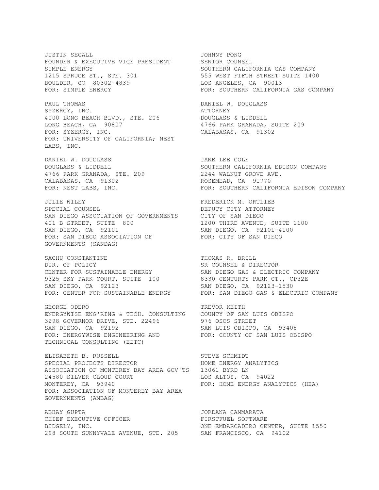JUSTIN SEGALL JOHNNY PONG FOUNDER & EXECUTIVE VICE PRESIDENT SENIOR COUNSEL SIMPLE ENERGY **SOUTHERN CALIFORNIA GAS COMPANY** 1215 SPRUCE ST., STE. 301 555 WEST FIFTH STREET SUITE 1400 BOULDER, CO 80302-4839 LOS ANGELES, CA 90013 FOR: SIMPLE ENERGY FOR: SOUTHERN CALIFORNIA GAS COMPANY

PAUL THOMAS **DANIEL W. DOUGLASS** SYZERGY, INC. **ATTORNEY** 4000 LONG BEACH BLVD., STE. 206 DOUGLASS & LIDDELL LONG BEACH, CA 90807 4766 PARK GRANADA, SUITE 209 FOR: SYZERGY, INC. CALABASAS, CA 91302 FOR: UNIVERSITY OF CALIFORNIA; NEST LABS, INC.

DANIEL W. DOUGLASS **JANE LEE COLE** 10000 RARK GRANADA, STE. 209 CALABASAS, CA 91302 ROSEMEAD, CA 91770

JULIE WILEY FREDERICK M. ORTLIEB SPECIAL COUNSEL **Example 20 SEPUTY CITY ATTORNEY** SAN DIEGO ASSOCIATION OF GOVERNMENTS CITY OF SAN DIEGO 401 B STREET, SUITE 800 1200 THIRD AVENUE, SUITE 1100 SAN DIEGO, CA 92101 SAN DIEGO, CA 92101-4100 FOR: SAN DIEGO ASSOCIATION OF FOR: CITY OF SAN DIEGO GOVERNMENTS (SANDAG)

SACHU CONSTANTINE THOMAS R. BRILL<br>DIR. OF POLICY THOMAS SR COUNSEL & DIRECTOR DIR. OF POLICY SR COUNSEL & DIRECTOR CENTER FOR SUSTAINABLE ENERGY SAN DIEGO GAS & ELECTRIC COMPANY 9325 SKY PARK COURT, SUITE 100 8330 CENTURTY PARK CT., CP32E SAN DIEGO, CA 92123 SAN DIEGO, CA 92123-1530

GEORGE ODERO TREVOR KEITH ENERGYWISE ENG'RING & TECH. CONSULTING COUNTY OF SAN LUIS OBISPO 3298 GOVERNOR DRIVE, STE. 22496 976 OSOS STREET SAN DIEGO, CA 92192 SAN LUIS OBISPO, CA 93408 FOR: ENERGYWISE ENGINEERING AND FOR: COUNTY OF SAN LUIS OBISPO TECHNICAL CONSULTING (EETC)

ELISABETH B. RUSSELL STEVE SCHMIDT SPECIAL PROJECTS DIRECTOR **HOME ENERGY ANALYTICS** ASSOCIATION OF MONTEREY BAY AREA GOV'TS 13061 BYRD LN 24580 SILVER CLOUD COURT LOS ALTOS, CA 94022 MONTEREY, CA 93940 **FOR: HOME ENERGY ANALYTICS** (HEA) FOR: ASSOCIATION OF MONTEREY BAY AREA GOVERNMENTS (AMBAG)

ABHAY GUPTA JORDANA CAMMARATA CHIEF EXECUTIVE OFFICER BIDGELY, INC. ONE EMBARCADERO CENTER, SUITE 1550 298 SOUTH SUNNYVALE AVENUE, STE. 205 SAN FRANCISCO, CA 94102

DOUGLASS & LIDDELL SOUTHERN CALIFORNIA EDISON COMPANY<br>1766 PARK GRANADA, STE. 209 12244 WALNUT GROVE AVE. FOR: NEST LABS, INC. FOR: SOUTHERN CALIFORNIA EDISON COMPANY

FOR: CENTER FOR SUSTAINABLE ENERGY FOR: SAN DIEGO GAS & ELECTRIC COMPANY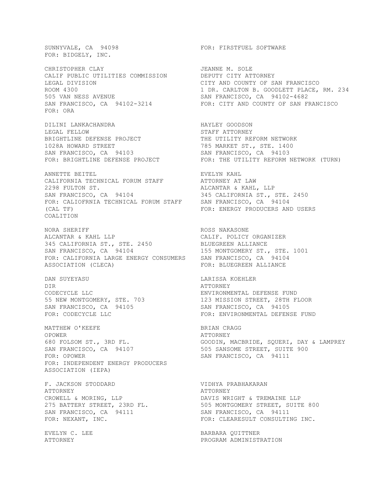FOR: BIDGELY, INC.

CHRISTOPHER CLAY **JEANNE M. SOLE** CALIF PUBLIC UTILITIES COMMISSION DEPUTY CITY ATTORNEY LEGAL DIVISION CITY AND COUNTY OF SAN FRANCISCO 505 VAN NESS AVENUE SAN FRANCISCO, CA 94102-4682 FOR: ORA

DILINI LANKACHANDRA HAYLEY GOODSON LEGAL FELLOW STAFF ATTORNEY BRIGHTLINE DEFENSE PROJECT THE UTILITY REFORM NETWORK 1028A HOWARD STREET THE RESOLUTION OF THE STRING STRING STRING STRING STRING STRING STRING STRING STRING STRING SAN FRANCISCO, CA 94103 SAN FRANCISCO, CA 94103 FOR: BRIGHTLINE DEFENSE PROJECT FOR: THE UTILITY REFORM NETWORK (TURN)

ANNETTE BEITEL **EVELYN** KAHL CALIFORNIA TECHNICAL FORUM STAFF ATTORNEY AT LAW 2298 FULTON ST.<br>
SAN FRANCISCO, CA 94104 621 345 CALIFORNIA ST., SAN FRANCISCO, CA 94104 345 CALIFORNIA ST., STE. 2450 FOR: CALIOFRNIA TECHNICAL FORUM STAFF SAN FRANCISCO, CA 94104 (CAL TF) FOR: ENERGY PRODUCERS AND USERS COALITION

NORA SHERIFF **ROSS NAKASONE** ALCANTAR & KAHL LLP CALIF. POLICY ORGANIZER 345 CALIFORNIA ST., STE. 2450 BLUEGREEN ALLIANCE SAN FRANCISCO, CA 94104 155 MONTGOMERY ST., STE. 1001 FOR: CALIFORNIA LARGE ENERGY CONSUMERS SAN FRANCISCO, CA 94104 ASSOCIATION (CLECA) FOR: BLUEGREEN ALLIANCE

DAN SUYEYASU LARISSA KOEHLER DIR ATTORNEY CODECYCLE LLC<br>
55 NEW MONTGOMERY, STE. 703<br>
SAN FRANCISCO, CA 94105<br>
SAN FRANCISCO, CA 94105 SAN FRANCISCO, CA 94105 SAN FRANCISCO, CA 94105

MATTHEW O'KEEFE BRIAN CRAGG OPOWER ATTORNEY SAN FRANCISCO, CA 94107 505 SANSOME STREET, SUITE 900 FOR: OPOWER SAN FRANCISCO, CA 94111 FOR: INDEPENDENT ENERGY PRODUCERS ASSOCIATION (IEPA)

F. JACKSON STODDARD VIDHYA PRABHAKARAN ATTORNEY<br>
CROWELL & MORING, LLP<br>
DAVIS WRI SAN FRANCISCO, CA 94111 SAN FRANCISCO, CA 94111

SUNNYVALE, CA 94098 FOR: FIRSTFUEL SOFTWARE

ROOM 4300 1 DR. CARLTON B. GOODLETT PLACE, RM. 234 SAN FRANCISCO, CA 94102-3214 FOR: CITY AND COUNTY OF SAN FRANCISCO

55 NEW MONTGOMERY, STE. 703 123 MISSION STREET, 28TH FLOOR FOR: CODECYCLE LLC **FOR: ENVIRONMENTAL DEFENSE FUND** 

GOODIN, MACBRIDE, SQUERI, DAY & LAMPREY<br>505 SANSOME STREET, SUITE 900

CROWELL & MORING, LLP **EXECUTE:** DAVIS WRIGHT & TREMAINE LLP 275 BATTERY STREET, 23RD FL. 505 MONTGOMERY STREET, SUITE 800 FOR: NEXANT, INC. THE SERIES ARE SONG THAT TO RESIDENCE THE SERIES ON FOR: CLEARESULT CONSULTING INC.

EVELYN C. LEE SANDARA QUITTNER ATTORNEY PROGRAM ADMINISTRATION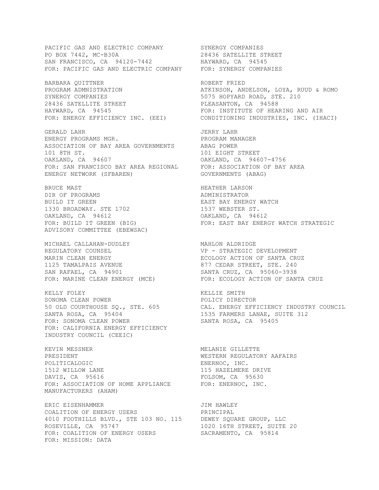PO BOX 7442, MC-B30A 28436 SATELLITE STREET SAN FRANCISCO, CA 94120-7442 HAYWARD, CA 94545 FOR: PACIFIC GAS AND ELECTRIC COMPANY FOR: SYNERGY COMPANIES BARBARA OUITTNER **ROBERT FRIED** PROGRAM ADMNISTRATION ATKINSON, ANDELSON, LOYA, RUUD & ROMO SYNERGY COMPANIES 5075 HOPYARD ROAD, STE. 210 28436 SATELLITE STREET PLEASANTON, CA 94588 HAYWARD, CA 94545 **FOR: INSTITUTE OF HEARING AND AIR** FOR: ENERGY EFFICIENCY INC. (EEI) CONDITIONING INDUSTRIES, INC. (IHACI) GERALD LAHR JERRY LAHR ENERGY PROGRAMS MGR. PROGRAM MANAGER ASSOCIATION OF BAY AREA GOVERNMENTS ABAG POWER ASSOCIATION OF BAY AREA GOVERNMENTS 101 8TH ST.<br>
101 BIGHT STREET OAKLAND, CA 94607 OAKLAND, CA 94607 OAKLAND, CA 94607-4756 FOR: SAN FRANCISCO BAY AREA REGIONAL FOR: ASSOCIATION OF BAY AREA ENERGY NETWORK (SFBAREN) GOVERNMENTS (ABAG) BRUCE MAST SERIES AND THEATHER LARSON HEATHER ARE SERIES AND HEATHER LARSON DIR OF PROGRAMS ADMINISTRATOR BUILD IT GREEN<br>1330 BROADWAY, STE 1702 1537 WEBSTER ST. 1330 BROADWAY. STE 1702 1537 WEBSTER ST. OAKLAND, CA 94612 OAKLAND, CA 94612 FOR: BUILD IT GREEN (BIG) FOR: EAST BAY ENERGY WATCH STRATEGIC ADVISORY COMMITTEE (EBEWSAC) MICHAEL CALLAHAN-DUDLEY MAHLON ALDRIDGE REGULATORY COUNSEL **VP** - STRATEGIC DEVELOPMENT MARIN CLEAN ENERGY **EXAMPLE EXAMPLE COLOGY ACTION OF SANTA CRUZ** 1125 TAMALPAIS AVENUE 877 CEDAR STREET, STE. 240 SAN RAFAEL, CA 94901 SANTA CRUZ, CA 95060-3938 FOR: MARINE CLEAN ENERGY (MCE) FOR: ECOLOGY ACTION OF SANTA CRUZ KELLY FOLEY KELLIE SMITH SONOMA CLEAN POWER POLICY DIRECTOR 50 OLD COURTHOUSE SQ., STE. 605 CAL. ENERGY EFFICIENCY INDUSTRY COUNCIL SANTA ROSA, CA 95404 1535 FARMERS LANAE, SUITE 312 FOR: SONOMA CLEAN POWER SANTA ROSA, CA 95405 FOR: CALIFORNIA ENERGY EFFICIENCY INDUSTRY COUNCIL (CEEIC) KEVIN MESSNER MELANIE GILLETTE PRESIDENT WESTERN REGULATORY AAFAIRS POLITICALOGIC ENERNOC, INC. DAVIS, CA 95616 FOLSOM, CA 95630 FOR: ASSOCIATION OF HOME APPLIANCE FOR: ENERNOC, INC. MANUFACTURERS (AHAM) ERIC EISENHAMMER<br>COALITION OF ENERGY USERS GOAL PRINCIPAL COALITION OF ENERGY USERS 4010 FOOTHILLS BLVD., STE 103 NO. 115 DEWEY SQUARE GROUP, LLC ROSEVILLE, CA 95747 1020 16TH STREET, SUITE 20 FOR: COALITION OF ENERGY USERS SACRAMENTO, CA 95814 FOR: MISSION: DATA

PACIFIC GAS AND ELECTRIC COMPANY SYNERGY COMPANIES

115 HAZELMERE DRIVE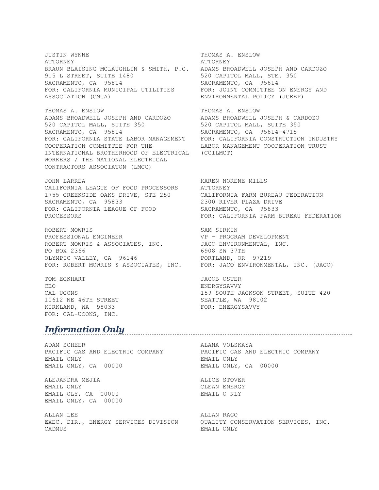JUSTIN WYNNE THOMAS A. ENSLOW ATTORNEY ATTORNEY BRAUN BLAISING MCLAUGHLIN & SMITH, P.C. ADAMS BROADWELL JOSEPH AND CARDOZO<br>915 L STREET, SUITE 1480 520 CAPITOL MALL, STE. 350 915 L STREET, SUITE 1480 SACRAMENTO, CA 95814 SACRAMENTO, CA 95814 FOR: CALIFORNIA MUNICIPAL UTILITIES FOR: JOINT COMMITTEE ON ENERGY AND ASSOCIATION (CMUA) ENVIRONMENTAL POLICY (JCEEP)

THOMAS A. ENSLOW THOMAS A. ENSLOW ADAMS BROADWELL JOSEPH AND CARDOZO ADAMS BROADWELL JOSEPH & CARDOZO 520 CAPITOL MALL, SUITE 350 520 CAPITOL MALL, SUITE 350 520 CAPITOL MALL, SUITE 350<br>
SACRAMENTO, CA 95814<br>
SACRAMENTO, CA 95814 FOR: CALIFORNIA STATE LABOR MANAGEMENT FOR: CALIFORNIA CONSTRUCTION INDUSTRY COOPERATION COMMITTEE-FOR THE LABOR MANAGEMENT COOPERATION TRUST INTERNATIONAL BROTHERHOOD OF ELECTRICAL (CCILMCT) WORKERS / THE NATIONAL ELECTRICAL CONTRACTORS ASSOCIATON (LMCC)

JOHN LARREA KAREN NORENE MILLS CALIFORNIA LEAGUE OF FOOD PROCESSORS ATTORNEY 1755 CREEKSIDE OAKS DRIVE, STE 250 CALIFORNIA FARM BUREAU FEDERATION SACRAMENTO, CA 95833 2300 RIVER PLAZA DRIVE FOR: CALIFORNIA LEAGUE OF FOOD SACRAMENTO, CA 95833

ROBERT MOWRIS SAM SIRKIN PROFESSIONAL ENGINEER VP - PROGRAM DEVELOPMENT ROBERT MOWRIS & ASSOCIATES, INC. JACO ENVIRONMENTAL, INC. PO BOX 2366<br>
OLYMPIC VALLEY, CA 96146 6908 SW 37TH<br>
PORTLAND, OR 97219 OLYMPIC VALLEY, CA 96146 PORTLAND, OR 97219

TOM ECKHART JACOB OSTER CEO ENERGYSAVVY 10612 NE 46TH STREET SEATTLE, WA 98102<br>KIRKLAND, WA 98033 SEATTLE, ENERGYSAVVY KIRKLAND, WA 98033 FOR: CAL-UCONS, INC.

# *Information Only*

ADAM SCHEER ALANA VOLSKAYA PACIFIC GAS AND ELECTRIC COMPANY PACIFIC GAS AND ELECTRIC COMPANY EMAIL ONLY EMAIL ONLY EMAIL ONLY, CA 00000 EMAIL ONLY, CA 00000

ALEJANDRA MEJIA ALICE STOVER EMAIL ONLY SERVICE SERVICE ON THE CLEAN ENERGY EMAIL OLY, CA 00000 EMAIL O NLY EMAIL ONLY, CA 00000

ALLAN LEE ALLAN RAGO EXEC. DIR., ENERGY SERVICES DIVISION QUALITY CONSERVATION SERVICES, INC. CADMUS EMAIL ONLY

PROCESSORS FOR: CALIFORNIA FARM BUREAU FEDERATION

FOR: ROBERT MOWRIS & ASSOCIATES, INC. FOR: JACO ENVIRONMENTAL, INC. (JACO)

CAL-UCONS 159 SOUTH JACKSON STREET, SUITE 420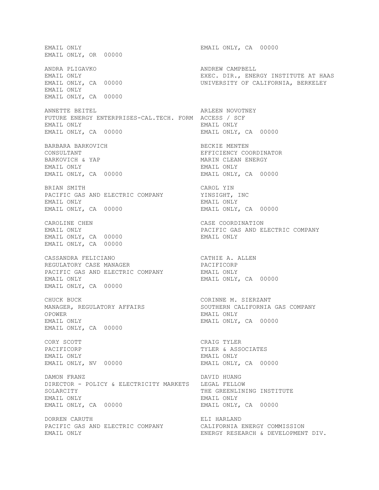EMAIL ONLY **EMAIL ONLY, CA** 00000 EMAIL ONLY, OR 00000 ANDRA PLIGAVKO ANDREW CAMPBELL EMAIL ONLY<br>
EXEC. DIR., ENERGY INSTITUTE AT HAAS<br>
UNIVERSITY OF CALIFORNIA, BERKELEY EMAIL ONLY, CA 00000 EMAIL ONLY EMAIL ONLY, CA 00000 ANNETTE BEITEL **ARLEEN NOVOTNEY** FUTURE ENERGY ENTERPRISES-CAL.TECH. FORM ACCESS / SCF EMAIL ONLY EMAIL ONLY EMAIL ONLY, CA 00000 EMAIL ONLY, CA 00000 BARBARA BARKOVICH BECKIE MENTEN BECKIE MENTEN CONSULTANT CONSULTANT CONSULTANT EFFICIENCY COORDINATOR<br>BARKOVICH & YAP CONSULTANT MARIN CLEAN ENERGY MARIN CLEAN ENERGY EMAIL ONLY EMAIL ONLY EMAIL ONLY, CA 00000 EMAIL ONLY, CA 00000 BRIAN SMITH CAROL YIN PACIFIC GAS AND ELECTRIC COMPANY YINSIGHT, INC EMAIL ONLY EMAIL ONLY EMAIL ONLY, CA 00000 EMAIL ONLY, CA 00000 CAROLINE CHEN CASE COORDINATION EMAIL ONLY PACIFIC GAS AND ELECTRIC COMPANY EMAIL ONLY, CA 00000 EMAIL ONLY EMAIL ONLY, CA 00000 CASSANDRA FELICIANO CATHIE A. ALLEN REGULATORY CASE MANAGER **Example 19 PACIFICORP** PACIFIC GAS AND ELECTRIC COMPANY EMAIL ONLY EMAIL ONLY **EMAIL ONLY, CA** 00000 EMAIL ONLY, CA 00000 CHUCK BUCK CORINNE M. SIERZANT MANAGER, REGULATORY AFFAIRS SOUTHERN CALIFORNIA GAS COMPANY OPOWER EMAIL ONLY EMAIL ONLY EMAIL ONLY, CA 00000 EMAIL ONLY, CA 00000 CORY SCOTT CORY SCOTT PACIFICORP TYLER & ASSOCIATES EMAIL ONLY EMAIL ONLY EMAIL ONLY, NV 00000 EMAIL ONLY, CA 00000 DAMON FRANZ DAVID HUANG DIRECTOR - POLICY & ELECTRICITY MARKETS LEGAL FELLOW SOLARCITY **THE GREENLINING INSTITUTE** EMAIL ONLY EMAIL ONLY EMAIL ONLY, CA 00000 EMAIL ONLY, CA 00000 DORREN CARUTH ELI HARLAND PACIFIC GAS AND ELECTRIC COMPANY CALIFORNIA ENERGY COMMISSION EMAIL ONLY ENERGY RESEARCH & DEVELOPMENT DIV.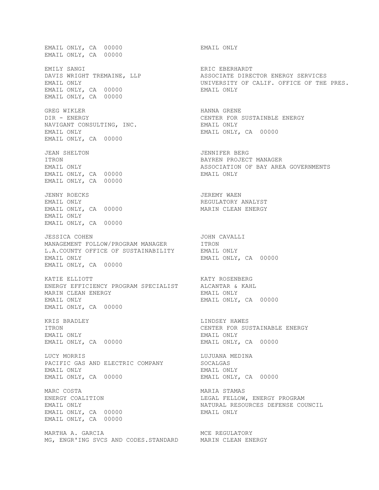EMAIL ONLY, CA 00000 EMAIL ONLY EMAIL ONLY, CA 00000 EMILY SANGI<br>
DAVIS WRIGHT TREMAINE, LLP<br>
ASSOCIATE DIRE EMAIL ONLY, CA 00000 EMAIL ONLY EMAIL ONLY, CA 00000 GREG WIKLER **HANNA GRENE** DIR - ENERGY CENTER FOR SUSTAINBLE ENERGY NAVIGANT CONSULTING, INC. EMAIL ONLY EMAIL ONLY EMAIL ONLY, CA 00000 EMAIL ONLY, CA 00000 JEAN SHELTON JENNIFER BERG ITRON BAYREN PROJECT MANAGER EMAIL ONLY ASSOCIATION OF BAY AREA GOVERNMENTS EMAIL ONLY, CA 00000 EMAIL ONLY EMAIL ONLY, CA 00000 JENNY ROECKS JEREMY WAEN EMAIL ONLY, CA 00000 MARIN CLEAN ENERGY EMAIL ONLY EMAIL ONLY, CA 00000 JESSICA COHEN JOHN CAVALLI MANAGEMENT FOLLOW/PROGRAM MANAGER ITRON L.A.COUNTY OFFICE OF SUSTAINABILITY EMAIL ONLY L.A.COUNTY OFFICE OF SUSTAINABILITY EMAIL ONLY **EMAIL ONLY, CA** 00000 EMAIL ONLY, CA 00000 KATIE ELLIOTT KATY ROSENBERG ENERGY EFFICIENCY PROGRAM SPECIALIST MARIN CLEAN ENERGY **EMAIL ONLY** EMAIL ONLY **EMAIL ONLY, CA** 00000 EMAIL ONLY, CA 00000 KRIS BRADLEY **EXECUTE:** THE LINDSEY HAWES ITRON CENTER FOR SUSTAINABLE ENERGY EMAIL ONLY EMAIL ONLY EMAIL ONLY, CA 00000 EMAIL ONLY, CA 00000 LUCY MORRIS LUJUANA MEDINA PACIFIC GAS AND ELECTRIC COMPANY SOCALGAS EMAIL ONLY EMAIL ONLY EMAIL ONLY, CA 00000 EMAIL ONLY, CA 00000 MARC COSTA 600 MARIA STAMAS ENERGY COALITION LEGAL FELLOW, ENERGY PROGRAM EMAIL ONLY NATURAL RESOURCES DEFENSE COUNCIL EMAIL ONLY, CA 00000 EMAIL ONLY EMAIL ONLY, CA 00000 MARTHA A. GARCIA MCC REGULATORY MG, ENGR'ING SVCS AND CODES.STANDARD MARIN CLEAN ENERGY

ASSOCIATE DIRECTOR ENERGY SERVICES EMAIL ONLY THE PRES. THE PRESENTION ON UNIVERSITY OF CALIF. OFFICE OF THE PRES. REGULATORY ANALYST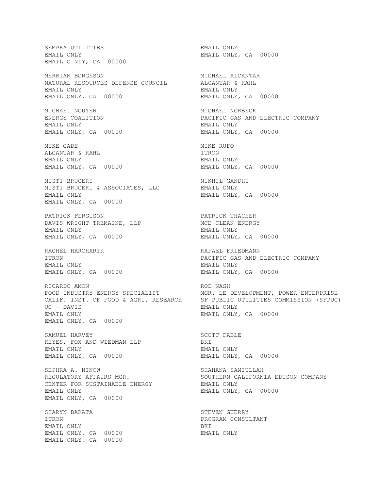SEMPRA UTILITIES EMAIL ONLY EMAIL ONLY **EMAIL ONLY, CA** 00000 EMAIL O NLY, CA 00000 MERRIAN BORGESON MICHAEL ALCANTAR NATURAL RESOURCES DEFENSE COUNCIL EMAIL ONLY EMAIL ONLY EMAIL ONLY, CA 00000 EMAIL ONLY, CA 00000 MICHAEL NGUYEN MICHAEL NORBECK ENERGY COALITION PACIFIC GAS AND ELECTRIC COMPANY EMAIL ONLY EMAIL ONLY EMAIL ONLY, CA 00000 EMAIL ONLY, CA 00000 MIKE CADE **MIKE RUFO** ALCANTAR & KAHL **ITRON** EMAIL ONLY EMAIL ONLY EMAIL ONLY, CA 00000 EMAIL ONLY, CA 00000 MISTI BRUCERI NIKHIL GANDHI MISTI BRUCERI & ASSOCIATES, LLC<br>EMAIL ONLY EMAIL ONLY, EMAIL ONLY, CA 00000 PATRICK FERGUSON PATRICK THACHER<br>DAVIS WRIGHT TREMAINE, LLP AND MOE CLEAN ENERGY DAVIS WRIGHT TREMAINE, LLP EMAIL ONLY EMAIL ONLY EMAIL ONLY, CA 00000 EMAIL ONLY, CA 00000 RACHEL HARCHARIK **RAFAEL FRIEDMANN** ITRON PACIFIC GAS AND ELECTRIC COMPANY EMAIL ONLY EMAIL ONLY EMAIL ONLY, CA 00000 EMAIL ONLY, CA 00000 RICARDO AMON **ROD** NASH UC - DAVIS EMAIL ONLY **EMAIL ONLY, CA** 00000 EMAIL ONLY, CA 00000 SAMUEL HARVEY **SAMUEL HARVEY** SAMUEL HARVEY KEYES, FOX AND WIEDMAN LLP BKI EMAIL ONLY EMAIL ONLY EMAIL ONLY, CA 00000 EMAIL ONLY, CA 00000 SEPHRA A. NINOW SHAHANA SAMIULLAH REGULATORY AFFAIRS MGR. SOUTHERN CALIFORNIA EDISON COMPANY CENTER FOR SUSTAINABLE ENERGY FOR THAIL ONLY EMAIL ONLY EMAIL ONLY, CA 00000 EMAIL ONLY, CA 00000 SHARYN BARATA STEVEN GUERRY ITRON PROGRAM CONSULTANT EMAIL ONLY BKI EMAIL ONLY, CA 00000 EMAIL ONLY EMAIL ONLY, CA 00000

EMAIL ONLY, CA 00000 FOOD INDUSTRY ENERGY SPECIALIST MGR. EE DEVELOPMENT, POWER ENTERPRISE CALIF. INST. OF FOOD & AGRI. RESEARCH SF PUBLIC UTILITIES COMMISSION (SFPUC)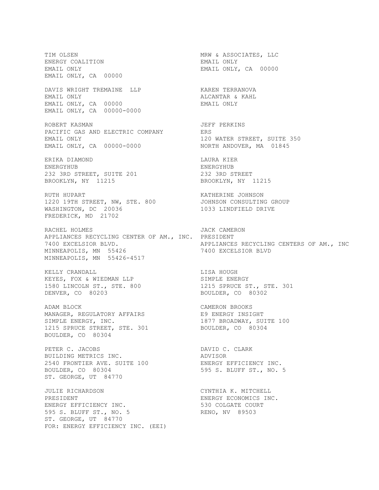TIM OLSEN MRW & ASSOCIATES, LLC ENERGY COALITION **ENERGY** COALITION EMAIL ONLY **EMAIL ONLY, CA** 00000 EMAIL ONLY, CA 00000 DAVIS WRIGHT TREMAINE LLP **KAREN TERRANOVA** EMAIL ONLY SALON BROOM CONTROL AND ALCANTAR & KAHL EMAIL ONLY, CA 00000 EMAIL ONLY EMAIL ONLY, CA 00000-0000 ROBERT KASMAN JEFF PERKINS PACIFIC GAS AND ELECTRIC COMPANY EMAIL ONLY **120 WATER STREET, SUITE 350** EMAIL ONLY, CA 00000-0000 WORTH ANDOVER, MA 01845 ERIKA DIAMOND LAURA KIER ENERGYHUB ENERGYHUB 232 3RD STREET, SUITE 201<br>BROOKLYN, NY 11215 BROOKLYN, NY 11215 BROOKLYN, NY 11215 BROOKLYN, NY 11215 RUTH HUPART **KATHERINE JOHNSON** 1220 19TH STREET, NW, STE. 800 JOHNSON CONSULTING GROUP WASHINGTON, DC 20036 1033 LINDFIELD DRIVE FREDERICK, MD 21702 RACHEL HOLMES JACK CAMERON APPLIANCES RECYCLING CENTER OF AM., INC. PRESIDENT 7400 EXCELSIOR BLVD. APPLIANCES RECYCLING CENTERS OF AM., INC MINNEAPOLIS, MN 55426 7400 EXCELSIOR BLVD MINNEAPOLIS, MN 55426-4517 KELLY CRANDALL **LISA HOUGH** KEYES, FOX & WIEDMAN LLP SIMPLE ENERGY 1580 LINCOLN ST., STE. 800 1215 SPRUCE ST., STE. 301 1580 LINCOLN ST., STE. 800 1215 SPRUCE ST., STE. 301<br>DENVER, CO 80203 BOULDER, CO 80302 ADAM BLOCK CAMERON BROOKS MANAGER, REGULATORY AFFAIRS THE RESOLATION RESOLUTION SIMPLE ENERGY, INC. THE RESOLUTION OF THE RESOLUTION OF THE 100 1215 SPRUCE STREET, STE. 301 BOULDER, CO 80304 BOULDER, CO 80304 PETER C. JACOBS DAVID C. CLARK BUILDING METRICS INC. ADVISOR 2540 FRONTIER AVE. SUITE 100 ENERGY EFFICIENCY INC. 2540 FRONTIER AVE. SUITE 100 ENERGY EFFICIENCY INC.<br>BOULDER, CO 80304 595 S. BLUFF ST., NO. 5 ST. GEORGE, UT 84770 JULIE RICHARDSON CYNTHIA K. MITCHELL PRESIDENT FRESIDENT ENERGY ECONOMICS INC. ENERGY EFFICIENCY INC. 530 COLGATE COURT 595 S. BLUFF ST., NO. 5 RENO, NV 89503 ST. GEORGE, UT 84770 FOR: ENERGY EFFICIENCY INC. (EEI)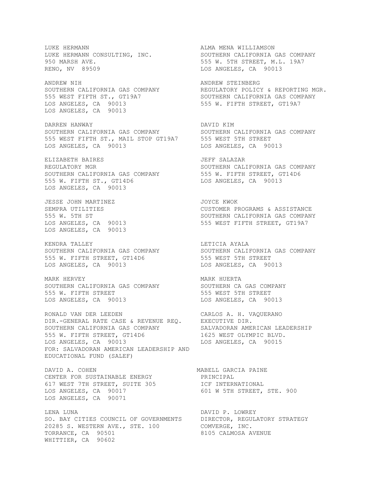LUKE HERMANN ALMA MENA WILLIAMSON LUKE HERMANN CONSULTING, INC. 950 MARSH AVE.<br>950 MARSH AVE. 555 W. 5TH STREET, M.L. 19A7 RENO, NV 89509 CONSERVATION CONSERVATION CONSERVATION CALCELES, CA 90013 ANDREW NIH ANDREW STEINBERG SOUTHERN CALIFORNIA GAS COMPANY **REGULATORY POLICY & REPORTING MGR.** 555 WEST FIFTH ST., GT19A7 SOUTHERN CALIFORNIA GAS COMPANY LOS ANGELES, CA 90013 555 W. FIFTH STREET, GT19A7 LOS ANGELES, CA 90013 DARREN HANWAY DAVID KIM SOUTHERN CALIFORNIA GAS COMPANY SOUTHERN CALIFORNIA GAS COMPANY 555 WEST FIFTH ST., MAIL STOP GT19A7 555 WEST 5TH STREET LOS ANGELES, CA 90013 LOS ANGELES, CA 90013 ELIZABETH BAIRES JEFF SALAZAR REGULATORY MGR SOUTHERN CALIFORNIA GAS COMPANY SOUTHERN CALIFORNIA GAS COMPANY 555 W. FIFTH STREET, GT14D6 555 W. FIFTH ST., GT14D6 LOS ANGELES, CA 90013 LOS ANGELES, CA 90013 JESSE JOHN MARTINEZ<br>
SEMPRA UTILITIES<br>
SEMPRA UTILITIES SEMPRA UTILITIES CUSTOMER PROGRAMS & ASSISTANCE 555 W. 5TH ST SOUTHERN CALIFORNIA GAS COMPANY LOS ANGELES, CA 90013 555 WEST FIFTH STREET, GT19A7 LOS ANGELES, CA 90013 KENDRA TALLEY **LETICIA AYALA** SOUTHERN CALIFORNIA GAS COMPANY SOUTHERN CALIFORNIA GAS COMPANY 555 W. FIFTH STREET, GT14D6 555 WEST 5TH STREET LOS ANGELES, CA 90013 LOS ANGELES, CA 90013 MARK HERVEY **MARK HUERTA** SOUTHERN CALIFORNIA GAS COMPANY SOUTHERN CA GAS COMPANY 555 W. FIFTH STREET 555 WEST 5TH STREET LOS ANGELES, CA 90013 LOS ANGELES, CA 90013 RONALD VAN DER LEEDEN CARLOS A. H. VAQUERANO DIR.-GENERAL RATE CASE & REVENUE REQ. EXECUTIVE DIR. SOUTHERN CALIFORNIA GAS COMPANY SALVADORAN AMERICAN LEADERSHIP 555 W. FIFTH STREET, GT14D6 1625 WEST OLYMPIC BLVD. LOS ANGELES, CA 90013 LOS ANGELES, CA 90015 FOR: SALVADORAN AMERICAN LEADERSHIP AND EDUCATIONAL FUND (SALEF) DAVID A. COHEN NABELL GARCIA PAINE CENTER FOR SUSTAINABLE ENERGY PRINCIPAL 617 WEST 7TH STREET, SUITE 305 ICF INTERNATIONAL LOS ANGELES, CA 90017 601 W 5TH STREET, STE. 900 LOS ANGELES, CA 90071 LENA LUNA **DAVID P. LOWREY** SO. BAY CITIES COUNCIL OF GOVERNMENTS DIRECTOR, REGULATORY STRATEGY 20285 S. WESTERN AVE., STE. 100 COMVERGE, INC. TORRANCE, CA 90501 8105 CALMOSA AVENUE WHITTIER, CA 90602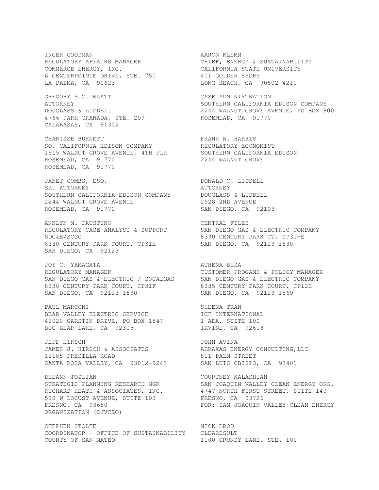COMMERCE ENERGY, INC. THE CALIFORNIA STATE UNIVERSITY 6 CENTERPOINTE DRIVE, STE. 750 401 GOLDEN SHORE LA PALMA, CA 90623 LONG BEACH, CA 90802-4210

GREGORY S.G. KLATT CASE ADMINISTRATION 4766 PARK GRANADA, STE. 209 ROSEMEAD, CA 91770 CALABASAS, CA 91302

CHARISSE BURNETT **FRANK W. HARRIS** SO. CALIFORNIA EDISON COMPANY THE REGULATORY ECONOMIST 1515 WALNUT GROVE AVENUE, 4TH FLR SOUTHERN CALIFORNIA EDISON ROSEMEAD, CA 91770 2244 WALNUT GROVE ROSEMEAD, CA 91770

JANET COMBS, ESQ. DONALD C. LIDDELL SR. ATTORNEY **AND SERVICE SERVICE AT A SERVICE AT SOLUT** SOUTHERN CALIFORNIA EDISON COMPANY DOUGLASS & LIDDELL SOUTHERN CALIFORNIA EDISON COMPANY DOUGLASS & LIDDELL<br>2244 WALNUT GROVE AVENUE 2928 2ND AVENUE ROSEMEAD, CA 91770 SAN DIEGO, CA 92103

ANNLYN M. FAUSTINO CENTRAL FILES REGULATORY CASE ANALYST & SUPPORT SAN DIEGO GAS & ELECTRIC COMPANY SDG&E/SCGC 8330 CENTURY PARK CT, CP31-E 8330 CENTURY PARK COURT, CP31E SAN DIEGO, CA 92123-1530 SAN DIEGO, CA 92123

JOY C. YAMAGATA ATHENA BESA REGULATORY MANAGER CUSTOMER PROGAMS & POLICY MANAGER SAN DIEGO GAS & ELECTRIC / SOCALGAS SAN DIEGO GAS & ELECTRIC COMPANY 8330 CENTURY PARK COURT, CP31F 6335 CENTURY PARK COURT, CP12H SAN DIEGO, CA 92123-1530 SAN DIEGO, CA 92123-1569

PAUL MARCONI SHEENA TRAN BEAR VALLEY ELECTRIC SERVICE **INTERNATIONAL** 42020 GARSTIN DRIVE, PO BOX 1547 1 ADA, SUITE 100 BIG BEAR LAKE, CA 92315 IRVINE, CA 92618

JEFF HIRSCH SOME SOME STRUKT OM STRUKT JOHN AVINA JAMES J. HIRSCH & ASSOCIATES ABRAXAS ENERGY CONSULTING,LLC 12185 PRESILLA ROAD 811 PALM STREET SANTA ROSA VALLEY, CA 93012-9243 SAN LUIS OBISPO, CA 93401

DEEANN TOZLIAN COURTNEY KALASHIAN 590 W LOCUST AVENUE, SUITE 103 FRESNO, CA 93726 ORGANIZATION (SJVCEO)

STEPHEN STOLTE NICK BROD COORDINATOR - OFFICE OF SUSTAINABILITY CLEARESULT COUNTY OF SAN MATEO 1100 GRUNDY LANE, STE. 100

INGER GOODMAN<br>REGULATORY AFFAIRS MANAGER CHIEF, ENERGY & SUSTAINABILITY<br>COMMERCE ENERGY, INC.<br>CALIFORNIA STATE UNIVERSITY REGULATORY AFFAIRS MANAGER CHIEF, ENERGY & SUSTAINABILITY

ATTORNEY SOUTHERN CALIFORNIA EDISON COMPANY DOUGLASS & LIDDELL 2244 WALNUT GROVE AVENUE, PO BOX 800

STRATEGIC PLANNING RESEARCH MGR SAN JOAQUIN VALLEY CLEAN ENERGY ORG. RICHARD HEATH & ASSOCIATES, INC. 4747 NORTH FIRST STREET, SUITE 140 FRESNO, CA 93650 FOR: SAN JOAQUIN VALLEY CLEAN ENERGY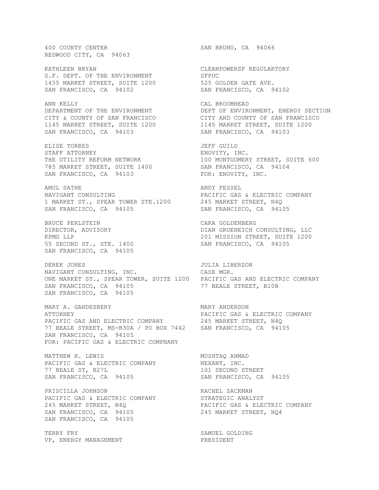400 COUNTY CENTER SAN BRUNO, CA 94066 REDWOOD CITY, CA 94063

S.F. DEPT. OF THE ENVIRONMENT SFPUC 1455 MARKET STREET, SUITE 1200 525 GOLDEN GATE AVE. SAN FRANCISCO, CA 94102 SAN FRANCISCO, CA 94102

ANN KELLY **CAL BROOMHEAD** SAN FRANCISCO, CA 94103 SAN FRANCISCO, CA 94103

ELISE TORRES JEFF GUILD STAFF ATTORNEY **ENOVITY, INC.** 785 MARKET STREET, SUITE 1400 SAN FRANCISCO, CA 94104 SAN FRANCISCO, CA 94103 FOR: ENOVITY, INC.

AMUL SATHE **ANDY FESSEL** NAVIGANT CONSULTING **EXECUTE:** PACIFIC GAS & ELECTRIC COMPANY 1 MARKET ST., SPEAR TOWER STE.1200 245 MARKET STREET, N4Q SAN FRANCISCO, CA 94105 SAN FRANCISCO, CA 94105

BRUCE PERLSTEIN CARA GOLDENBERG SAN FRANCISCO, CA 94105

DEREK JONES JULIA LIBERZON NAVIGANT CONSULTING, INC. CASE MGR. ONE MARKET ST., SPEAR TOWER, SUITE 1200 PACIFIC GAS AND ELECTRIC COMPANY SAN FRANCISCO, CA 94105 77 BEALE STREET, B10B SAN FRANCISCO, CA 94105

MARY A. GANDESBERY MARY ANDERSON ATTORNEY PACIFIC GAS & ELECTRIC COMPANY PACIFIC GAS AND ELECTRIC COMPANY 245 MARKET STREET, N4Q 77 BEALE STREET, MS-B30A / PO BOX 7442 SAN FRANCISCO, CA 94105 SAN FRANCISCO, CA 94105 FOR: PACIFIC GAS & ELECTRIC COMPNANY

MATTHEW H. LEWIS MUSHTAQ AHMAD PACIFIC GAS & ELECTRIC COMPANY 77 BEALE ST, B27L 101 SECOND STREET SAN FRANCISCO, CA 94105 SAN FRANCISCO, CA 94105

PRISCILLA JOHNSON RACHEL SACKMAN PACIFIC GAS & ELECTRIC COMPANY STRATEGIC ANALYST SAN FRANCISCO, CA 94105 245 MARKET STREET, NQ4 SAN FRANCISCO, CA 94105

TERRY FRY SAMUEL GOLDING VP, ENERGY MANAGEMENT **Example 19** PRESIDENT

KATHLEEN BRYAN CLEANPOWERSF REGULARTORY

DEPARTMENT OF THE ENVIRONMENT **DEPT OF ENVIRONMENT, ENERGY SECTION** CITY & COUNTY OF SAN FRANCISCO CITY AND COUNTY OF SAN FRANCISCO 1145 MARKET STREET, SUITE 1200 1145 MARKET STREET, SUITE 1200

THE UTILITY REFORM NETWORK 100 MONTGOMERY STREET, SUITE 600

DIRECTOR, ADVISORY DIAN GRUENEICH CONSULTING, LLC KPMG LLP 201 MISSION STREET, SUITE 1200 55 SECOND ST., STE. 1400 SAN FRANCISCO, CA 94105

245 MARKET STREET, N4Q PACIFIC GAS & ELECTRIC COMPANY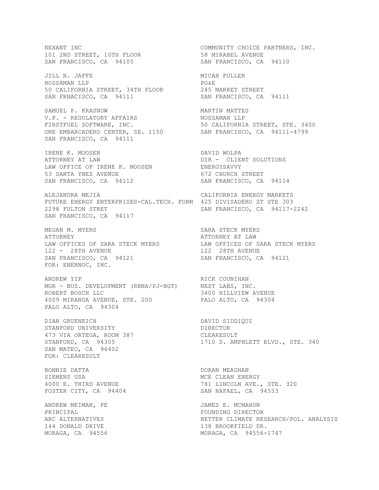101 2ND STREET, 10TH FLOOR<br>SAN FRANCISCO, CA 94105 JILL N. JAFFE MICAH FULLER NOSSAMAN LLP PG&E 50 CALIFORNIA STREET, 34TH FLOOR 245 MARKET STREET 50 CALIFORNIA STREET, 34TH FLOOR 245 MARKET STREET<br>SAN FRNACISCO, CA 94111 SAN FRANCISCO, CA 94111 SAMUEL P. KRASNOW **MARTIN MARTIN** V.P. - REGULATORY AFFAIRS NOSSAMAN LLP FIRSTFUEL SOFTWARE, INC.  $\begin{array}{ccc} 50 & \text{CALIFORNIA} \text{STREET,} \text{STE.} \end{array}$  3400 ONE EMBARCADERO CENTER, SE. 1150 SAN FRANCISCO, CA 94111-4799 SAN FRANCISCO, CA 94111 IRENE K. MOOSEN DAVID WOLPA ATTORNEY AT LAW DER - CLIENT SOLUTIONS LAW OFFICE OF IRENE K. MOOSEN ENERGYSAVVY 53 SANTA YNEZ AVENUE 672 CHURCH STREET SAN FRANCISCO, CA 94112 SAN FRANCISCO, CA 94114 ALEJANDRA MEJIA CALIFORNIA ENERGY MARKETS FUTURE ENERGY ENTERPRISES-CAL.TECH. FORM 425 DIVISADERO ST STE 303 2298 FULTON STRET SAN FRANCISCO, CA 94117-2242 SAN FRANCISCO, CA 94117 MEGAN M. MYERS SARA STECK MYERS ATTORNEY ATTORNEY AT LAW LAW OFFICES OF SARA STECK MYERS LAW OFFICES OF SARA STECK MYERS 122 - 28TH AVENUE 122 28TH AVENUE SAN FRANCISCO, CA 94121 SAN FRANCISCO, CA 94121 FOR: ENERNOC, INC. ANDREW YIP RICK COUNIHAN MGR - BUS. DEVELOPMENT (RBNA/PJ-BGT) ROBERT BOSCH LLC 3400 HILLVIEW AVENUE 4009 MIRANDA AVENUE, STE. 200 PALO ALTO, CA 94304 PALO ALTO, CA 94304 DIAN GRUENEICH DAVID SIDDIQUI STANFORD UNIVERSITY DAN DIRECTOR STANFORD UNIVERSITY **Example 20 STANFORD** 473 VIA ORTEGA, ROOM 387 CLEARESULT STANFORD, CA 94305 1710 S. AMPHLETT BLVD., STE. 340 SAN MATEO, CA 94402 FOR: CLEARESULT BONNIE DATTA DORAN MEAGHAN SIEMENS USA 1999 NOTE CLEAN ENERGY 4000 E. THIRD AVENUE **1990** 781 LINCOLN AVE., STE. 320 FOSTER CITY, CA 94404 SAN RAFAEL, CA 94553 ANDREW MEIMAN, PE SANDREW MEIMAN, PE PRINCIPAL **FOUNDING DIRECTOR** ARC ALTERNATIVES BETTER CLIMATE RESEARCH/POL. ANALYSIS 144 DONALD DRIVE 138 BROOKFIELD DR. MORAGA, CA 94556 MORAGA, CA 94556-1747

NEXANT INC COMMUNITY CHOICE PARTNERS, INC. 58 MIRABEL AVENUE<br>SAN FRANCISCO, CA 94110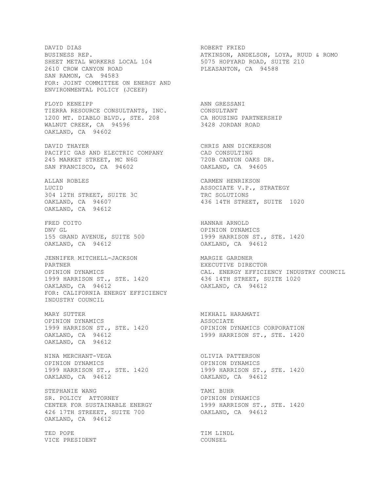DAVID DIAS ROBERT FRIED SHEET METAL WORKERS LOCAL 104 5075 HOPYARD ROAD, SUITE 210 2610 CROW CANYON ROAD PLEASANTON, CA 94588 SAN RAMON, CA 94583 FOR: JOINT COMMITTEE ON ENERGY AND ENVIRONMENTAL POLICY (JCEEP) FLOYD KENEIPP **ANN GRESSANI** TIERRA RESOURCE CONSULTANTS, INC. CONSULTANT 1200 MT. DIABLO BLVD., STE. 208 CA HOUSING PARTNERSHIP WALNUT CREEK, CA 94596 3428 JORDAN ROAD OAKLAND, CA 94602 DAVID THAYER CHRIS ANN DICKERSON PACIFIC GAS AND ELECTRIC COMPANY CAD CONSULTING 245 MARKET STREET, MC N6G 720B CANYON OAKS DR. SAN FRANCISCO, CA 94602 OAKLAND, CA 94605 ALLAN ROBLES CARMEN HENRIKSON LUCID<br>
104 12TH STREET, SUITE 3C<br>
1304 12TH STREET, SUITE 3C<br>
136 14TH STREET, SUITE 1020 304 12TH STREET, SUITE 3C TRC SOLUTIONS OAKLAND, CA 94607 436 14TH STREET, SUITE 1020 OAKLAND, CA 94612 FRED COITO **HANNAH ARNOLD** DNV GL OPINION DYNAMICS 155 GRAND AVENUE, SUITE 500 1999 HARRISON ST., STE. 1420 155 GRAND AVENUE, SUITE 500<br>
OAKLAND, CA 94612<br>
OAKLAND, CA 94612 JENNIFER MITCHELL-JACKSON MARGIE GARDNER PARTNER EXECUTIVE DIRECTOR UPINION DINAMICS<br>1999 HARRISON ST., STE. 1420 436 14TH STREET, SUITE 1020 OAKLAND, CA 94612 OAKLAND, CA 94612 FOR: CALIFORNIA ENERGY EFFICIENCY INDUSTRY COUNCIL MARY SUTTER MIKHAIL HARAMATI OPINION DYNAMICS ASSOCIATE 1999 HARRISON ST., STE. 1420 OAKLAND, CA 94612 1999 HARRISON ST., STE. 1420 OAKLAND, CA 94612 NINA MERCHANT-VEGA OLIVIA PATTERSON OPINION DYNAMICS OPINION DYNAMICS 1999 HARRISON ST., STE. 1420 1999 HARRISON ST., STE. 1420 OAKLAND, CA 94612 OAKLAND, CA 94612 STEPHANIE WANG **TAMI BUHR** SR. POLICY ATTORNEY **Example 20 SET AT A CONSTANT AND A SET A** OPINION DYNAMICS CENTER FOR SUSTAINABLE ENERGY 1999 HARRISON ST., STE. 1420 426 17TH STREEET, SUITE 700 OAKLAND, CA 94612 OAKLAND, CA 94612 TED POPE TED POPE VICE PRESIDENT COUNSEL

BUSINESS REP. ATKINSON, ANDELSON, LOYA, RUUD & ROMO

CAL. ENERGY EFFICIENCY INDUSTRY COUNCIL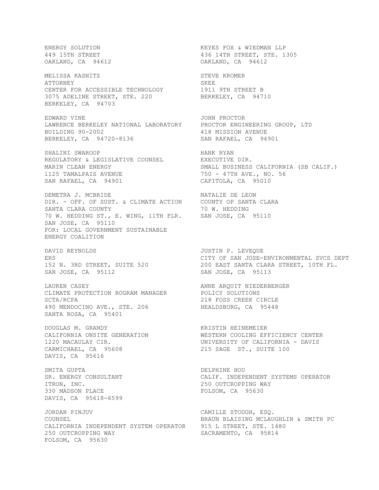ENERGY SOLUTION FOR SALL THE STREET A STREET A STREET AND THE STREET, STE. 1. OAKLAND, CA 94612 MELISSA KASNITZ STEVE KROMER ATTORNEY SKEE CENTER FOR ACCESSIBLE TECHNOLOGY 1911 9TH STREET B CENTER FOR ACCESSIBLE TECHNOLOGY 1911 9TH STREET B<br>3075 ADELINE STREET, STE. 220 BERKELEY, CA 94710 BERKELEY, CA 94703 EDWARD VINE JOHN PROCTOR LAWRENCE BERKELEY NATIONAL LABORATORY PROCTOR ENGINEERING GROUP, LTD BUILDING 90-2002 418 MISSION AVENUE BERKELEY, CA 94720-8136 SAN RAFAEL, CA 94901 SHALINI SWAROOP<br>REGULATORY & LEGISLATIVE COUNSEL EXECUTIVE DIR. REGULATORY & LEGISLATIVE COUNSEL MARIN CLEAN ENERGY<br>1125 TAMALPAIS AVENUE 1125 TAMALPAIS AVENUE SAN RAFAEL, CA 94901 CAPITOLA, CA 95010 DEMETRA J. MCBRIDE NATALIE DE LEON DIR. - OFF. OF SUST. & CLIMATE ACTION COUNTY OF SANTA CLARA SANTA CLARA COUNTY 70 W. HEDDING 70 W. HEDDING ST., E. WING, 11TH FLR. SAN JOSE, CA 95110 SAN JOSE, CA 95110 FOR: LOCAL GOVERNMENT SUSTAINABLE ENERGY COALITION DAVID REYNOLDS **DAVID REYNOLDS** ERS<br>
CITY OF SAN JOSE-ENVIRONMENTAL SVCS DEPT<br>
152 N. 3RD STREET, SUITE 520<br>
200 EAST SANTA CLARA STREET, 10TH FL. SAN JOSE, CA 95112 SAN JOSE, CA 95113 LAUREN CASEY ANNE ARQUIT NIEDERBERGER CLIMATE PROTECTION ROGRAM MANAGER POLICY SOLUTIONS SCTA/RCPA 218 FOSS CREEK CIRCLE 490 MENDOCINO AVE., STE. 206 HEALDSBURG, CA 95448 SANTA ROSA, CA 95401 DOUGLAS M. GRANDY KRISTIN HEINEMEIER CALIFORNIA ONSITE GENERATION WESTERN COOLING EFFICIENCY CENTER 1220 MACAULAY CIR. UNIVERSITY OF CALIFORNIA - DAVIS CARMICHAEL, CA 95608 215 SAGE ST., SUITE 100 DAVIS, CA 95616 SMITA GUPTA **DELPHINE HOU** SR. ENERGY CONSULTANT CALIF. INDEPENDENT SYSTEMS OPERATOR ITRON, INC.<br>330 MADSON PLACE CONSIDER THE RESOLUTION CA 95630 DAVIS, CA 95618-6599 JORDAN PINJUV **CAMILLE STOUGH, ESQ.**<br>COUNSEL COUNSEL CALIFORNIA INDEPENDENT SYSTEM OPERATOR 915 L STREET, STE. 1480 250 OUTCROPPING WAY SACRAMENTO, CA 95814 FOLSOM, CA 95630

436 14TH STREET, STE. 1305<br>OAKLAND, CA 94612 750 - 47TH AVE., NO. 56 200 EAST SANTA CLARA STREET, 10TH FL. FOLSOM, CA 95630 BRAUN BLAISING MCLAUGHLIN & SMITH PC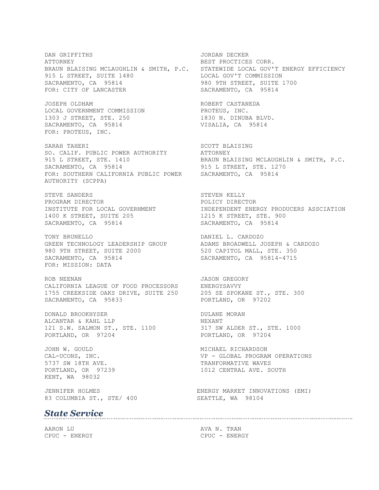DAN GRIFFITHS JORDAN DECKER ATTORNEY BEST PROCTICES CORR. BRAUN BLAISING MCLAUGHLIN & SMITH, P.C. STATEWIDE LOCAL GOV'T ENERGY EFFICIENCY 915 L STREET, SUITE 1480 LOCAL GOV'T COMMISSION SACRAMENTO, CA 95814 980 9TH STREET, SUITE 1700 FOR: CITY OF LANCASTER SACRAMENTO, CA 95814

JOSEPH OLDHAM ROBERT CASTANEDA LOCAL GOVERNMENT COMMISSION PROTEUS, INC. 1303 J STREET, STE. 250 1830 N. DINUBA BLVD. 1303 J STREET, STE. 200<br>SACRAMENTO, CA 95814 VISALIA, CA 95814 FOR: PROTEUS, INC.

SARAH TAHERI SARAH SUMBERI SARAH SARAH SARAH SARAH SARAH SARAH SARAH SARAH SARAH SARAH SARAH SARAH SARAH SARAH SO. CALIF. PUBLIC POWER AUTHORITY ATTORNEY SACRAMENTO, CA 95814 915 L STREET, STE. 1270 FOR: SOUTHERN CALIFORNIA PUBLIC POWER SACRAMENTO, CA 95814 AUTHORITY (SCPPA)

STEVE SANDERS STEVEN KELLY PROGRAM DIRECTOR **POLICY DIRECTOR** 1400 K STREET, SUITE 205 1215 K STREET, STE. 900 SACRAMENTO, CA 95814 SACRAMENTO, CA 95814

TONY BRUNELLO DANIEL L. CARDOZO GREEN TECHNOLOGY LEADERSHIP GROUP ADAMS BROADWELL JOSEPH & CARDOZO 980 9TH STREET, SUITE 2000 520 CAPITOL MALL, STE. 350 SACRAMENTO, CA 95814 SACRAMENTO, CA 95814-4715 FOR: MISSION: DATA

ROB NEENAN GREGORY CALIFORNIA LEAGUE OF FOOD PROCESSORS ENERGYSAVVY 1755 CREEKSIDE OAKS DRIVE, SUITE 250 205 SE SPOKANE ST., STE. 300 SACRAMENTO, CA 95833 PORTLAND, OR 97202

DONALD BROOKHYSER DULANE MORAN ALCANTAR & KAHL LLP NEXANT 121 S.W. SALMON ST., STE. 1100 317 SW ALDER ST., STE. 1000 121 S.W. SALMON ST., STE. 1100 317 SW ALDER ST., STE. 1000<br>PORTLAND, OR 97204 PORTLAND, OR 97204

JOHN W. GOULD **MICHAEL RICHARDSON** KENT, WA 98032

83 COLUMBIA ST., STE/ 400 SEATTLE, WA 98104

#### *State Service*

AARON LU AVA N. TRAN CPUC - ENERGY CPUC - ENERGY

ATTORNEY<br>BRAUN BLAISING MCLAUGHLIN & SMITH, P.C.

INSTITUTE FOR LOCAL GOVERNMENT INDEPENDENT ENERGY PRODUCERS ASSCIATION

CAL-UCONS, INC. VP - GLOBAL PROGRAM OPERATIONS 5737 SW 18TH AVE. TRANFORMATIVE WAVES PORTLAND, OR 97239 1012 CENTRAL AVE. SOUTH

JENNIFER HOLMES ENERGY MARKET INNOVATIONS (EMI)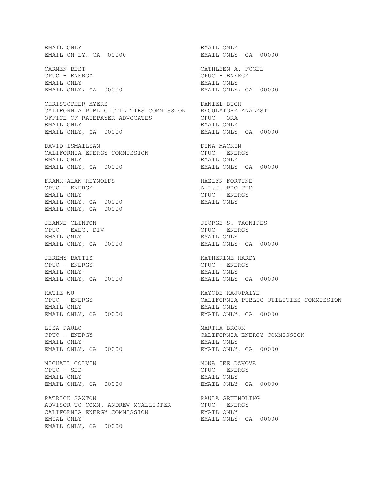EMAIL ONLY EMAIL ONLY EMAIL ON LY, CA 00000 EMAIL ONLY, CA 00000 CARMEN BEST CATHLEEN A. FOGEL CPUC - ENERGY CPUC - ENERGY EMAIL ONLY EMAIL ONLY EMAIL ONLY, CA 00000 EMAIL ONLY, CA 00000 CHRISTOPHER MYERS DANIEL BUCH CALIFORNIA PUBLIC UTILITIES COMMISSION REGULATORY ANALYST OFFICE OF RATEPAYER ADVOCATES CPUC - ORA EMAIL ONLY, CA 00000 EMAIL ONLY, CA 00000 DAVID ISMAILYAN DINA MACKIN CALIFORNIA ENERGY COMMISSION EMAIL ONLY EMAIL ONLY EMAIL ONLY, CA 00000 EMAIL ONLY, CA 00000 FRANK ALAN REYNOLDS HAZLYN FORTUNE CPUC - ENERGY A.L.J. PRO TEM EMAIL ONLY, CA 00000 EMAIL ONLY EMAIL ONLY, CA 00000 JEANNE CLINTON JEORGE S. TAGNIPES CPUC - EXEC. DIV CPUC - ENERGY EMAIL ONLY EMAIL ONLY EMAIL ONLY, CA 00000 EMAIL ONLY, CA 00000 JEREMY BATTIS KATHERINE HARDY CPUC - ENERGY CPUC - ENERGY EMAIL ONLY, CA 00000 EMAIL ONLY, CA 00000 KATIE WU GALIFORNIA ENERGY CHUC - ENERGY GALIFORNIA PUBLIC EMAIL ONLY, CA 00000 EMAIL ONLY, CA 00000 LISA PAULO MARTHA BROOK CPUC - ENERGY CALIFORNIA ENERGY COMMISSION EMAIL ONLY EMAIL ONLY EMAIL ONLY, CA 00000 EMAIL ONLY, CA 00000 MICHAEL COLVIN **MONA DEE DZVOVA** CPUC - SED CPUC - ENERGY EMAIL ONLY EMAIL ONLY EMAIL ONLY, CA 00000 EMAIL ONLY, CA 00000 PATRICK SAXTON **PATRICK SAXTON** ADVISOR TO COMM. ANDREW MCALLISTER CPUC - ENERGY CALIFORNIA ENERGY COMMISSION EMAIL ONLY EMIAL ONLY **EMAIL ONLY, CA** 00000 EMAIL ONLY, CA 00000

EMAIL ONLY CPUC - ENERGY<br>EMAIL ONLY EMAIL ONLY CPUC - ENERGY CALIFORNIA PUBLIC UTILITIES COMMISSION EMAIL ONLY